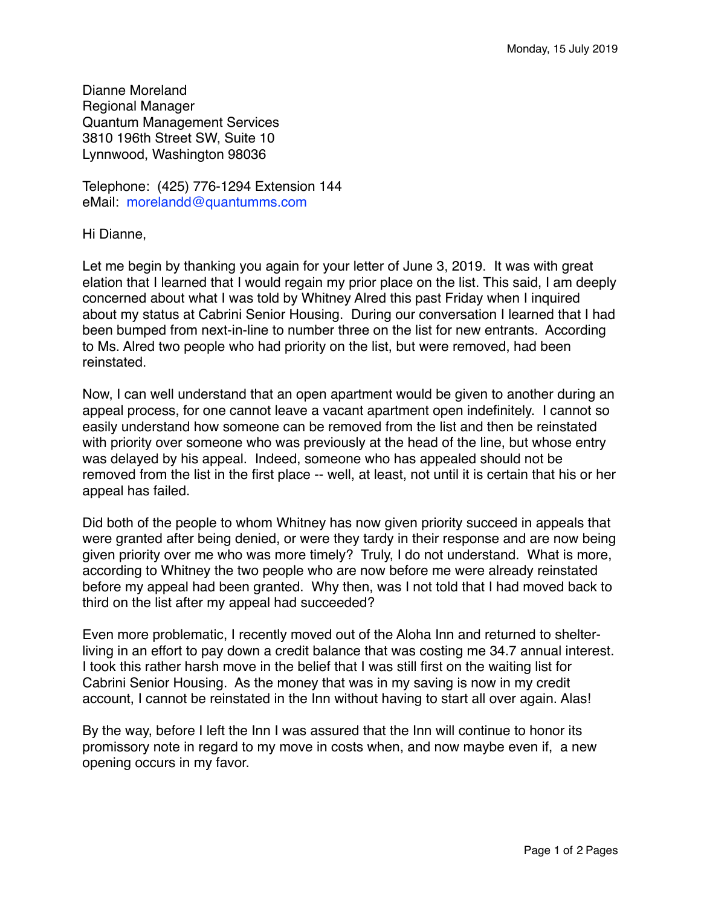Dianne Moreland Regional Manager Quantum Management Services 3810 196th Street SW, Suite 10 Lynnwood, Washington 98036

Telephone: (425) 776-1294 Extension 144 eMail: morelandd@quantumms.com

Hi Dianne,

Let me begin by thanking you again for your letter of June 3, 2019. It was with great elation that I learned that I would regain my prior place on the list. This said, I am deeply concerned about what I was told by Whitney Alred this past Friday when I inquired about my status at Cabrini Senior Housing. During our conversation I learned that I had been bumped from next-in-line to number three on the list for new entrants. According to Ms. Alred two people who had priority on the list, but were removed, had been reinstated.

Now, I can well understand that an open apartment would be given to another during an appeal process, for one cannot leave a vacant apartment open indefinitely. I cannot so easily understand how someone can be removed from the list and then be reinstated with priority over someone who was previously at the head of the line, but whose entry was delayed by his appeal. Indeed, someone who has appealed should not be removed from the list in the first place -- well, at least, not until it is certain that his or her appeal has failed.

Did both of the people to whom Whitney has now given priority succeed in appeals that were granted after being denied, or were they tardy in their response and are now being given priority over me who was more timely? Truly, I do not understand. What is more, according to Whitney the two people who are now before me were already reinstated before my appeal had been granted. Why then, was I not told that I had moved back to third on the list after my appeal had succeeded?

Even more problematic, I recently moved out of the Aloha Inn and returned to shelterliving in an effort to pay down a credit balance that was costing me 34.7 annual interest. I took this rather harsh move in the belief that I was still first on the waiting list for Cabrini Senior Housing. As the money that was in my saving is now in my credit account, I cannot be reinstated in the Inn without having to start all over again. Alas!

By the way, before I left the Inn I was assured that the Inn will continue to honor its promissory note in regard to my move in costs when, and now maybe even if, a new opening occurs in my favor.